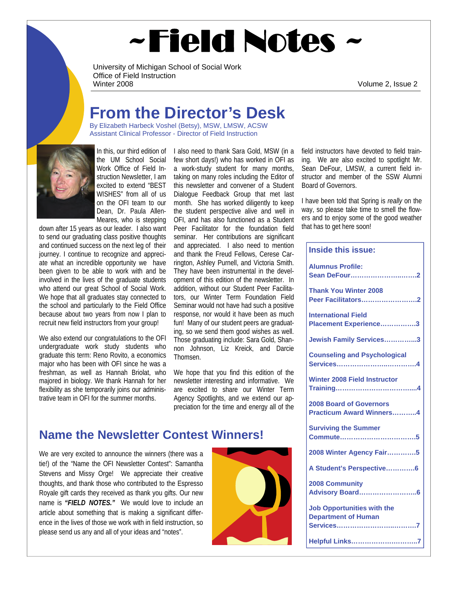# ~Field Notes

University of Michigan School of Social Work Office of Field Instruction<br>Winter 2008

Volume 2, Issue 2

### **From the Director's Desk**

By Elizabeth Harbeck Voshel (Betsy), MSW, LMSW, ACSW Assistant Clinical Professor - Director of Field Instruction



the UM School Social Work Office of Field Instruction Newsletter, I am excited to extend "BEST WISHES" from all of us on the OFI team to our Dean, Dr. Paula Allen-Meares, who is stepping

down after 15 years as our leader. I also want to send our graduating class positive thoughts and continued success on the next leg of their journey. I continue to recognize and appreciate what an incredible opportunity we have been given to be able to work with and be involved in the lives of the graduate students who attend our great School of Social Work. We hope that all graduates stay connected to the school and particularly to the Field Office because about two years from now I plan to recruit new field instructors from your group!

We also extend our congratulations to the OFI undergraduate work study students who graduate this term: Reno Rovito, a economics major who has been with OFI since he was a freshman, as well as Hannah Briolat, who majored in biology. We thank Hannah for her flexibility as she temporarily joins our administrative team in OFI for the summer months.

In this, our third edition of I also need to thank Sara Gold, MSW (in a few short days!) who has worked in OFI as a work-study student for many months, taking on many roles including the Editor of this newsletter and convener of a Student Dialogue Feedback Group that met last month. She has worked diligently to keep the student perspective alive and well in OFI, and has also functioned as a Student Peer Facilitator for the foundation field seminar. Her contributions are significant and appreciated. I also need to mention and thank the Freud Fellows, Cerese Carrington, Ashley Purnell, and Victoria Smith. They have been instrumental in the development of this edition of the newsletter. In addition, without our Student Peer Facilitators, our Winter Term Foundation Field Seminar would not have had such a positive response, nor would it have been as much fun! Many of our student peers are graduating, so we send them good wishes as well. Those graduating include: Sara Gold, Shannon Johnson, Liz Kreick, and Darcie Thomsen.

> We hope that you find this edition of the newsletter interesting and informative. We are excited to share our Winter Term Agency Spotlights, and we extend our appreciation for the time and energy all of the

#### **Name the Newsletter Contest Winners!**

We are very excited to announce the winners (there was a tie!) of the "Name the OFI Newsletter Contest": Samantha Stevens and Missy Orge! We appreciate their creative thoughts, and thank those who contributed to the Espresso Royale gift cards they received as thank you gifts. Our new name is *"FIELD NOTES."* We would love to include an article about something that is making a significant difference in the lives of those we work with in field instruction, so please send us any and all of your ideas and "notes".



field instructors have devoted to field training. We are also excited to spotlight Mr. Sean DeFour, LMSW, a current field instructor and member of the SSW Alumni Board of Governors.

I have been told that Spring is *really* on the way, so please take time to smell the flowers and to enjoy some of the good weather that has to get here soon!

#### **Inside this issue:**

| <b>Alumnus Profile:</b><br>Sean DeFour2                           |
|-------------------------------------------------------------------|
| <b>Thank You Winter 2008</b><br>Peer Facilitators2                |
| <b>International Field</b><br>Placement Experience3               |
| Jewish Family Services3                                           |
| <b>Counseling and Psychological</b>                               |
| <b>Winter 2008 Field Instructor</b>                               |
| <b>2008 Board of Governors</b><br><b>Practicum Award Winners4</b> |
| <b>Surviving the Summer</b>                                       |
| 2008 Winter Agency Fair5                                          |
| A Student's Perspective6                                          |
| <b>2008 Community</b>                                             |
| <b>Job Opportunities with the</b><br><b>Department of Human</b>   |
| <b>Helpful Links7</b>                                             |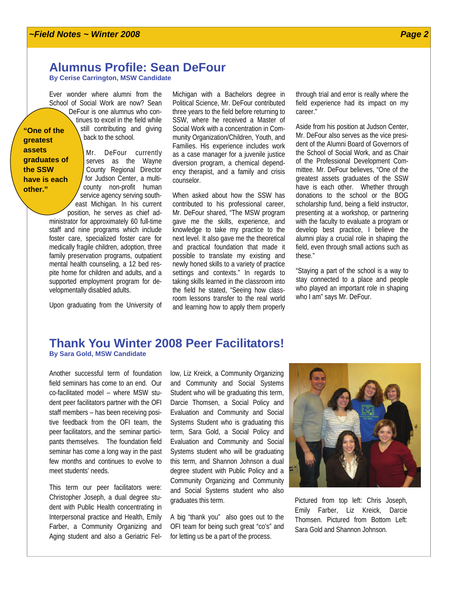#### **Alumnus Profile: Sean DeFour**

**By Cerise Carrington, MSW Candidate** 

Ever wonder where alumni from the School of Social Work are now? Sean DeFour is one alumnus who continues to excel in the field while still contributing and giving back to the school. **"One of the** 

**greatest assets graduates of the SSW have is each other."** 

Mr. DeFour currently serves as the Wayne County Regional Director for Judson Center, a multicounty non-profit human service agency serving southeast Michigan. In his current

position, he serves as chief administrator for approximately 60 full-time staff and nine programs which include foster care, specialized foster care for medically fragile children, adoption, three family preservation programs, outpatient mental health counseling, a 12 bed respite home for children and adults, and a supported employment program for developmentally disabled adults.

Upon graduating from the University of

Michigan with a Bachelors degree in Political Science, Mr. DeFour contributed three years to the field before returning to SSW, where he received a Master of Social Work with a concentration in Community Organization/Children, Youth, and Families. His experience includes work as a case manager for a juvenile justice diversion program, a chemical dependency therapist, and a family and crisis counselor.

When asked about how the SSW has contributed to his professional career, Mr. DeFour shared, "The MSW program gave me the skills, experience, and knowledge to take my practice to the next level. It also gave me the theoretical and practical foundation that made it possible to translate my existing and newly honed skills to a variety of practice settings and contexts." In regards to taking skills learned in the classroom into the field he stated, "Seeing how classroom lessons transfer to the real world and learning how to apply them properly

through trial and error is really where the field experience had its impact on my career."

Aside from his position at Judson Center, Mr. DeFour also serves as the vice president of the Alumni Board of Governors of the School of Social Work, and as Chair of the Professional Development Committee. Mr. DeFour believes, "One of the greatest assets graduates of the SSW have is each other. Whether through donations to the school or the BOG scholarship fund, being a field instructor, presenting at a workshop, or partnering with the faculty to evaluate a program or develop best practice, I believe the alumni play a crucial role in shaping the field, even through small actions such as these."

"Staying a part of the school is a way to stay connected to a place and people who played an important role in shaping who I am" says Mr. DeFour.

#### **Thank You Winter 2008 Peer Facilitators! By Sara Gold, MSW Candidate**

Another successful term of foundation field seminars has come to an end. Our co-facilitated model – where MSW student peer facilitators partner with the OFI staff members – has been receiving positive feedback from the OFI team, the peer facilitators, and the seminar participants themselves. The foundation field seminar has come a long way in the past few months and continues to evolve to meet students' needs.

This term our peer facilitators were: Christopher Joseph, a dual degree student with Public Health concentrating in Interpersonal practice and Health, Emily Farber, a Community Organizing and Aging student and also a Geriatric Fel-

low, Liz Kreick, a Community Organizing and Community and Social Systems Student who will be graduating this term, Darcie Thomsen, a Social Policy and Evaluation and Community and Social Systems Student who is graduating this term, Sara Gold, a Social Policy and Evaluation and Community and Social Systems student who will be graduating this term, and Shannon Johnson a dual degree student with Public Policy and a Community Organizing and Community and Social Systems student who also graduates this term.

A big "thank you" also goes out to the OFI team for being such great "co's" and for letting us be a part of the process.



Pictured from top left: Chris Joseph, Emily Farber, Liz Kreick, Darcie Thomsen. Pictured from Bottom Left: Sara Gold and Shannon Johnson.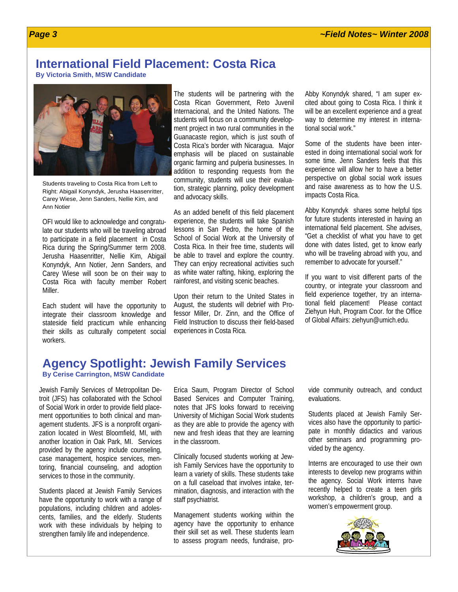#### **International Field Placement: Costa Rica**

**By Victoria Smith, MSW Candidate** 



Students traveling to Costa Rica from Left to Right: Abigail Konyndyk, Jerusha Haasenritter, Carey Wiese, Jenn Sanders, Nellie Kim, and Ann Notier

OFI would like to acknowledge and congratulate our students who will be traveling abroad to participate in a field placement in Costa Rica during the Spring/Summer term 2008. Jerusha Haasenritter, Nellie Kim, Abigail Konyndyk, Ann Notier, Jenn Sanders, and Carey Wiese will soon be on their way to Costa Rica with faculty member Robert Miller.

Each student will have the opportunity to integrate their classroom knowledge and stateside field practicum while enhancing their skills as culturally competent social workers.

The students will be partnering with the Costa Rican Government, Reto Juvenil Internacional, and the United Nations. The students will focus on a community development project in two rural communities in the Guanacaste region, which is just south of Costa Rica's border with Nicaragua. Major emphasis will be placed on sustainable organic farming and pulperia businesses. In addition to responding requests from the community, students will use their evaluation, strategic planning, policy development and advocacy skills.

As an added benefit of this field placement experience, the students will take Spanish lessons in San Pedro, the home of the School of Social Work at the University of Costa Rica. In their free time, students will be able to travel and explore the country. They can enjoy recreational activities such as white water rafting, hiking, exploring the rainforest, and visiting scenic beaches.

Upon their return to the United States in August, the students will debrief with Professor Miller, Dr. Zinn, and the Office of Field Instruction to discuss their field-based experiences in Costa Rica.

Abby Konyndyk shared, "I am super excited about going to Costa Rica. I think it will be an excellent experience and a great way to determine my interest in international social work."

Some of the students have been interested in doing international social work for some time. Jenn Sanders feels that this experience will allow her to have a better perspective on global social work issues and raise awareness as to how the U.S. impacts Costa Rica.

Abby Konyndyk shares some helpful tips for future students interested in having an international field placement. She advises, "Get a checklist of what you have to get done with dates listed, get to know early who will be traveling abroad with you, and remember to advocate for yourself."

If you want to visit different parts of the country, or integrate your classroom and field experience together, try an international field placement! Please contact Ziehyun Huh, Program Coor. for the Office of Global Affairs: ziehyun@umich.edu.

### **Agency Spotlight: Jewish Family Services** By Cerise Carrington, MSW Candidate

Jewish Family Services of Metropolitan Detroit (JFS) has collaborated with the School of Social Work in order to provide field placement opportunities to both clinical and management students. JFS is a nonprofit organization located in West Bloomfield, MI, with another location in Oak Park, MI. Services provided by the agency include counseling, case management, hospice services, mentoring, financial counseling, and adoption services to those in the community.

Students placed at Jewish Family Services have the opportunity to work with a range of populations, including children and adolescents, families, and the elderly. Students work with these individuals by helping to strengthen family life and independence.

Erica Saum, Program Director of School Based Services and Computer Training, notes that JFS looks forward to receiving University of Michigan Social Work students as they are able to provide the agency with new and fresh ideas that they are learning in the classroom.

Clinically focused students working at Jewish Family Services have the opportunity to learn a variety of skills. These students take on a full caseload that involves intake, termination, diagnosis, and interaction with the staff psychiatrist.

Management students working within the agency have the opportunity to enhance their skill set as well. These students learn to assess program needs, fundraise, provide community outreach, and conduct evaluations.

Students placed at Jewish Family Services also have the opportunity to participate in monthly didactics and various other seminars and programming provided by the agency.

Interns are encouraged to use their own interests to develop new programs within the agency. Social Work interns have recently helped to create a teen girls workshop, a children's group, and a women's empowerment group.

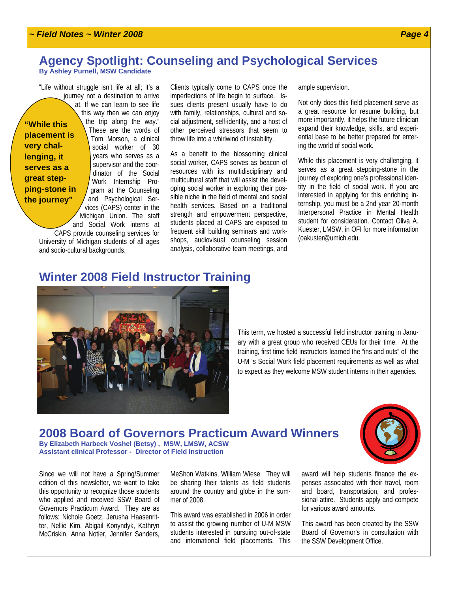#### *~ Field Notes ~ Winter 2008*

#### **Agency Spotlight: Counseling and Psychological Services By Ashley Purnell, MSW Candidate**

"Life without struggle isn't life at all; it's a journey not a destination to arrive at. If we can learn to see life this way then we can enjoy the trip along the way." These are the words of Tom Morson, a clinical social worker of 30 years who serves as a supervisor and the coordinator of the Social Work Internship Program at the Counseling and Psychological Services (CAPS) center in the Michigan Union. The staff and Social Work interns at **"While this placement is very challenging, it serves as a great stepping-stone in the journey"** 

CAPS provide counseling services for University of Michigan students of all ages and socio-cultural backgrounds.

Clients typically come to CAPS once the imperfections of life begin to surface. Issues clients present usually have to do with family, relationships, cultural and social adjustment, self-identity, and a host of other perceived stressors that seem to throw life into a whirlwind of instability.

As a benefit to the blossoming clinical social worker, CAPS serves as beacon of resources with its multidisciplinary and multicultural staff that will assist the developing social worker in exploring their possible niche in the field of mental and social health services. Based on a traditional strength and empowerment perspective, students placed at CAPS are exposed to frequent skill building seminars and workshops, audiovisual counseling session analysis, collaborative team meetings, and

ample supervision.

Not only does this field placement serve as a great resource for resume building, but more importantly, it helps the future clinician expand their knowledge, skills, and experiential base to be better prepared for entering the world of social work.

While this placement is very challenging, it serves as a great stepping-stone in the journey of exploring one's professional identity in the field of social work. If you are interested in applying for this enriching internship, you must be a 2nd year 20-month Interpersonal Practice in Mental Health student for consideration. Contact Oliva A. Kuester, LMSW, in OFI for more information (oakuster@umich.edu.

#### **Winter 2008 Field Instructor Training**



This term, we hosted a successful field instructor training in January with a great group who received CEUs for their time. At the training, first time field instructors learned the "ins and outs" of the U-M 's Social Work field placement requirements as well as what to expect as they welcome MSW student interns in their agencies.

### **2008 Board of Governors Practicum Award Winners** By Elizabeth Harbeck Voshel (Betsy), MSW, LMSW, ACSW

**Assistant clinical Professor - Director of Field Instruction** 

Since we will not have a Spring/Summer edition of this newsletter, we want to take this opportunity to recognize those students who applied and received SSW Board of Governors Practicum Award. They are as follows: Nichole Goetz, Jerusha Haasenritter, Nellie Kim, Abigail Konyndyk, Kathryn McCriskin, Anna Notier, Jennifer Sanders,

MeShon Watkins, William Wiese. They will be sharing their talents as field students around the country and globe in the summer of 2008.

This award was established in 2006 in order to assist the growing number of U-M MSW students interested in pursuing out-of-state and international field placements. This

award will help students finance the expenses associated with their travel, room and board, transportation, and professional attire. Students apply and compete for various award amounts.

This award has been created by the SSW Board of Governor's in consultation with the SSW Development Office.

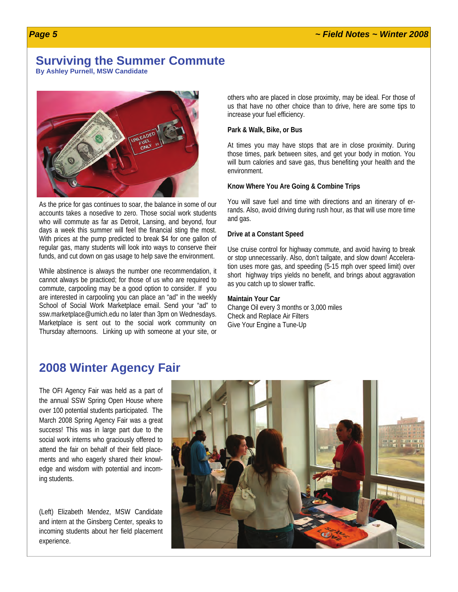#### **Surviving the Summer Commute**

**By Ashley Purnell, MSW Candidate** 



As the price for gas continues to soar, the balance in some of our accounts takes a nosedive to zero. Those social work students who will commute as far as Detroit, Lansing, and beyond, four days a week this summer will feel the financial sting the most. With prices at the pump predicted to break \$4 for one gallon of regular gas, many students will look into ways to conserve their funds, and cut down on gas usage to help save the environment.

While abstinence is always the number one recommendation, it cannot always be practiced; for those of us who are required to commute, carpooling may be a good option to consider. If you are interested in carpooling you can place an "ad" in the weekly School of Social Work Marketplace email. Send your "ad" to ssw.marketplace@umich.edu no later than 3pm on Wednesdays. Marketplace is sent out to the social work community on Thursday afternoons. Linking up with someone at your site, or

others who are placed in close proximity, may be ideal. For those of us that have no other choice than to drive, here are some tips to increase your fuel efficiency.

#### **Park & Walk, Bike, or Bus**

At times you may have stops that are in close proximity. During those times, park between sites, and get your body in motion. You will burn calories and save gas, thus benefiting your health and the environment.

#### **Know Where You Are Going & Combine Trips**

You will save fuel and time with directions and an itinerary of errands. Also, avoid driving during rush hour, as that will use more time and gas.

#### **Drive at a Constant Speed**

Use cruise control for highway commute, and avoid having to break or stop unnecessarily. Also, don't tailgate, and slow down! Acceleration uses more gas, and speeding (5-15 mph over speed limit) over short highway trips yields no benefit, and brings about aggravation as you catch up to slower traffic.

#### **Maintain Your Car**

Change Oil every 3 months or 3,000 miles Check and Replace Air Filters Give Your Engine a Tune-Up

#### **2008 Winter Agency Fair**

The OFI Agency Fair was held as a part of the annual SSW Spring Open House where over 100 potential students participated. The March 2008 Spring Agency Fair was a great success! This was in large part due to the social work interns who graciously offered to attend the fair on behalf of their field placements and who eagerly shared their knowledge and wisdom with potential and incoming students.

(Left) Elizabeth Mendez, MSW Candidate and intern at the Ginsberg Center, speaks to incoming students about her field placement experience.

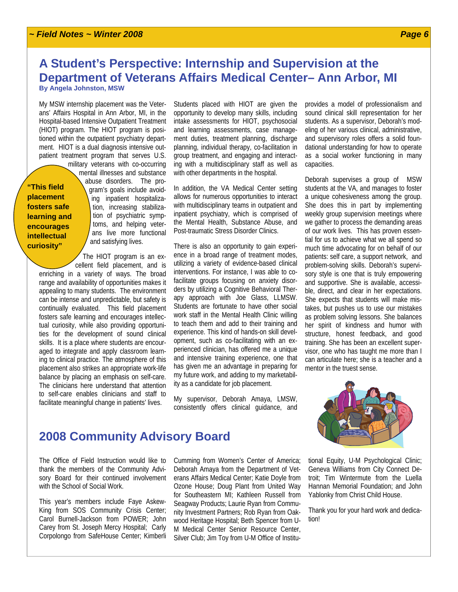#### **A Student's Perspective: Internship and Supervision at the Department of Veterans Affairs Medical Center– Ann Arbor, MI By Angela Johnston, MSW**

My MSW internship placement was the Veterans' Affairs Hospital in Ann Arbor, MI, in the Hospital-based Intensive Outpatient Treatment (HIOT) program. The HIOT program is positioned within the outpatient psychiatry department. HIOT is a dual diagnosis intensive outpatient treatment program that serves U.S.

**"This field placement fosters safe learning and encourages intellectual curiosity"** 

military veterans with co-occurring mental illnesses and substance abuse disorders. The program's goals include avoiding inpatient hospitalization, increasing stabilization of psychiatric symptoms, and helping veterans live more functional and satisfying lives.

The HIOT program is an excellent field placement, and is enriching in a variety of ways. The broad range and availability of opportunities makes it appealing to many students. The environment can be intense and unpredictable, but safety is continually evaluated. This field placement fosters safe learning and encourages intellectual curiosity, while also providing opportunities for the development of sound clinical skills. It is a place where students are encouraged to integrate and apply classroom learning to clinical practice. The atmosphere of this placement also strikes an appropriate work-life balance by placing an emphasis on self-care. The clinicians here understand that attention to self-care enables clinicians and staff to facilitate meaningful change in patients' lives.

Students placed with HIOT are given the opportunity to develop many skills, including intake assessments for HIOT, psychosocial and learning assessments, case management duties, treatment planning, discharge planning, individual therapy, co-facilitation in group treatment, and engaging and interacting with a multidisciplinary staff as well as with other departments in the hospital.

In addition, the VA Medical Center setting allows for numerous opportunities to interact with multidisciplinary teams in outpatient and inpatient psychiatry, which is comprised of the Mental Health, Substance Abuse, and Post-traumatic Stress Disorder Clinics.

There is also an opportunity to gain experience in a broad range of treatment modes, utilizing a variety of evidence-based clinical interventions. For instance, I was able to cofacilitate groups focusing on anxiety disorders by utilizing a Cognitive Behavioral Therapy approach with Joe Glass, LLMSW. Students are fortunate to have other social work staff in the Mental Health Clinic willing to teach them and add to their training and experience. This kind of hands-on skill development, such as co-facilitating with an experienced clinician, has offered me a unique and intensive training experience, one that has given me an advantage in preparing for my future work, and adding to my marketability as a candidate for job placement.

My supervisor, Deborah Amaya, LMSW, consistently offers clinical guidance, and

provides a model of professionalism and sound clinical skill representation for her students. As a supervisor, Deborah's modeling of her various clinical, administrative, and supervisory roles offers a solid foundational understanding for how to operate as a social worker functioning in many capacities.

Deborah supervises a group of MSW students at the VA, and manages to foster a unique cohesiveness among the group. She does this in part by implementing weekly group supervision meetings where we gather to process the demanding areas of our work lives. This has proven essential for us to achieve what we all spend so much time advocating for on behalf of our patients: self care, a support network, and problem-solving skills. Deborah's supervisory style is one that is truly empowering and supportive. She is available, accessible, direct, and clear in her expectations. She expects that students will make mistakes, but pushes us to use our mistakes as problem solving lessons. She balances her spirit of kindness and humor with structure, honest feedback, and good training. She has been an excellent supervisor, one who has taught me more than I can articulate here; she is a teacher and a mentor in the truest sense.

#### **2008 Community Advisory Board**

The Office of Field Instruction would like to thank the members of the Community Advisory Board for their continued involvement with the School of Social Work.

This year's members include Faye Askew-King from SOS Community Crisis Center; Carol Burnell-Jackson from POWER; John Carey from St. Joseph Mercy Hospital; Carly Corpolongo from SafeHouse Center; Kimberli

Cumming from Women's Center of America; Deborah Amaya from the Department of Veterans Affairs Medical Center; Katie Doyle from Ozone House; Doug Plant from United Way for Southeastern MI; Kathleen Russell from Seagway Products; Laurie Ryan from Community Investment Partners; Rob Ryan from Oakwood Heritage Hospital; Beth Spencer from U-M Medical Center Senior Resource Center, Silver Club; Jim Toy from U-M Office of Institu-

tional Equity, U-M Psychological Clinic; Geneva Williams from City Connect Detroit; Tim Wintermute from the Luella Hannan Memorial Foundation; and John Yablonky from Christ Child House.

Thank you for your hard work and dedication!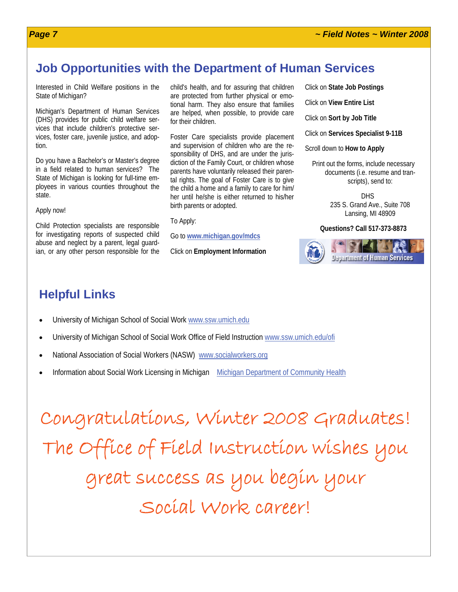#### **Job Opportunities with the Department of Human Services**

Interested in Child Welfare positions in the State of Michigan?

Michigan's Department of Human Services (DHS) provides for public child welfare services that include children's protective services, foster care, juvenile justice, and adoption.

Do you have a Bachelor's or Master's degree in a field related to human services? The State of Michigan is looking for full-time employees in various counties throughout the state.

Apply now!

Child Protection specialists are responsible for investigating reports of suspected child abuse and neglect by a parent, legal guardian, or any other person responsible for the

child's health, and for assuring that children are protected from further physical or emotional harm. They also ensure that families are helped, when possible, to provide care for their children.

Foster Care specialists provide placement and supervision of children who are the responsibility of DHS, and are under the jurisdiction of the Family Court, or children whose parents have voluntarily released their parental rights. The goal of Foster Care is to give the child a home and a family to care for him/ her until he/she is either returned to his/her birth parents or adopted.

To Apply:

Go to **[www.michigan.gov/mdcs](http://www.michigan.gov/mdcs)**

Click on **Employment Information**

Click on **State Job Postings**

Click on **View Entire List**

Click on **Sort by Job Title**

Click on **Services Specialist 9-11B**

Scroll down to **How to Apply**

Print out the forms, include necessary documents (i.e. resume and transcripts), send to:

> DHS 235 S. Grand Ave., Suite 708 Lansing, MI 48909

#### **Questions? Call 517-373-8873**



### **Helpful Links**

- University of Michigan School of Social Work [www.ssw.umich.edu](http://www.ssw.umich.edu)
- University of Michigan School of Social Work Office of Field Instruction [www.ssw.umich.edu/ofi](http://www.ssw.umich.edu/ofi)
- National Association of Social Workers (NASW) [www.socialworkers.org](http://www.socialworkers.org/)
- Information about Social Work Licensing in Michigan [Michigan Department of Community Health](http://www.michigan.gov/mdch/0,1607,7-132-27417_27529_27554---,00.html)

Congratulations, Winter 2008 Graduates! The Office of Field Instruction wishes you great success as you begin your Social Work career!